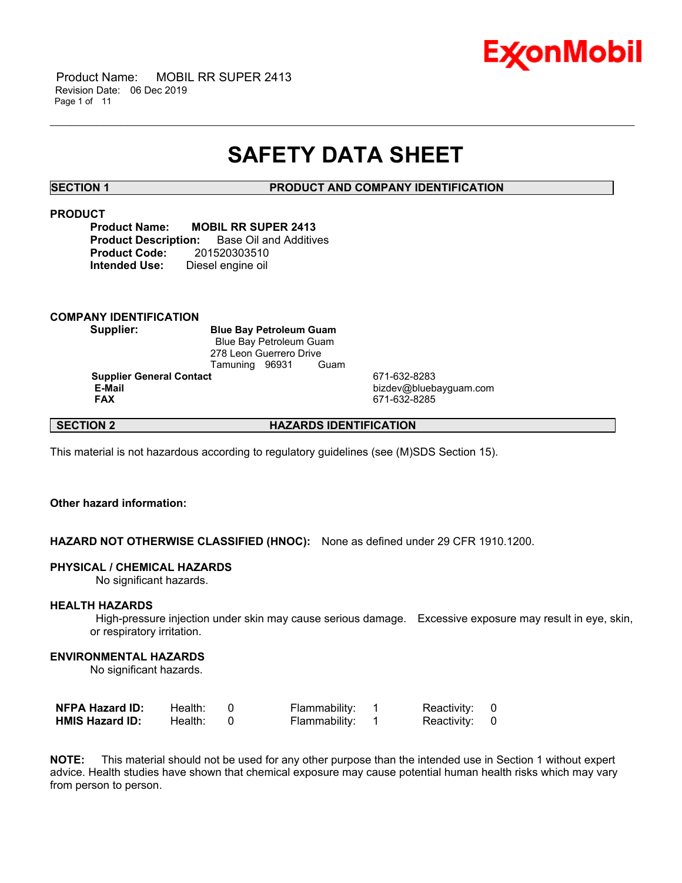

 Product Name: MOBIL RR SUPER 2413 Revision Date: 06 Dec 2019 Page 1 of 11

## **SAFETY DATA SHEET**

\_\_\_\_\_\_\_\_\_\_\_\_\_\_\_\_\_\_\_\_\_\_\_\_\_\_\_\_\_\_\_\_\_\_\_\_\_\_\_\_\_\_\_\_\_\_\_\_\_\_\_\_\_\_\_\_\_\_\_\_\_\_\_\_\_\_\_\_\_\_\_\_\_\_\_\_\_\_\_\_\_\_\_\_\_\_\_\_\_\_\_\_\_\_\_\_\_\_\_\_\_\_\_\_\_\_\_\_\_\_\_\_\_\_\_\_\_\_

**SECTION 1 PRODUCT AND COMPANY IDENTIFICATION**

### **PRODUCT**

**Product Name: MOBIL RR SUPER 2413 Product Description:** Base Oil and Additives **Product Code:** 201520303510 **Intended Use:** Diesel engine oil

### **COMPANY IDENTIFICATION**

**Supplier: Blue Bay Petroleum Guam** Blue Bay Petroleum Guam 278 Leon Guerrero Drive<br>Tamuning 96931 Guam Tamuning 96931

**Supplier General Contact** 671-632-8283<br> **E-Mail** bizdev@blueb

 **E-Mail** bizdev@bluebayguam.com  **FAX** 671-632-8285

**SECTION 2 HAZARDS IDENTIFICATION**

This material is not hazardous according to regulatory guidelines (see (M)SDS Section 15).

### **Other hazard information:**

**HAZARD NOT OTHERWISE CLASSIFIED (HNOC):** None as defined under 29 CFR 1910.1200.

#### **PHYSICAL / CHEMICAL HAZARDS**

No significant hazards.

#### **HEALTH HAZARDS**

 High-pressure injection under skin may cause serious damage. Excessive exposure may result in eye, skin, or respiratory irritation.

#### **ENVIRONMENTAL HAZARDS**

No significant hazards.

| <b>NFPA Hazard ID:</b> | Health: | Flammability: | Reactivity: 0 |  |
|------------------------|---------|---------------|---------------|--|
| <b>HMIS Hazard ID:</b> | Health: | Flammability: | Reactivity: 0 |  |

**NOTE:** This material should not be used for any other purpose than the intended use in Section 1 without expert advice. Health studies have shown that chemical exposure may cause potential human health risks which may vary from person to person.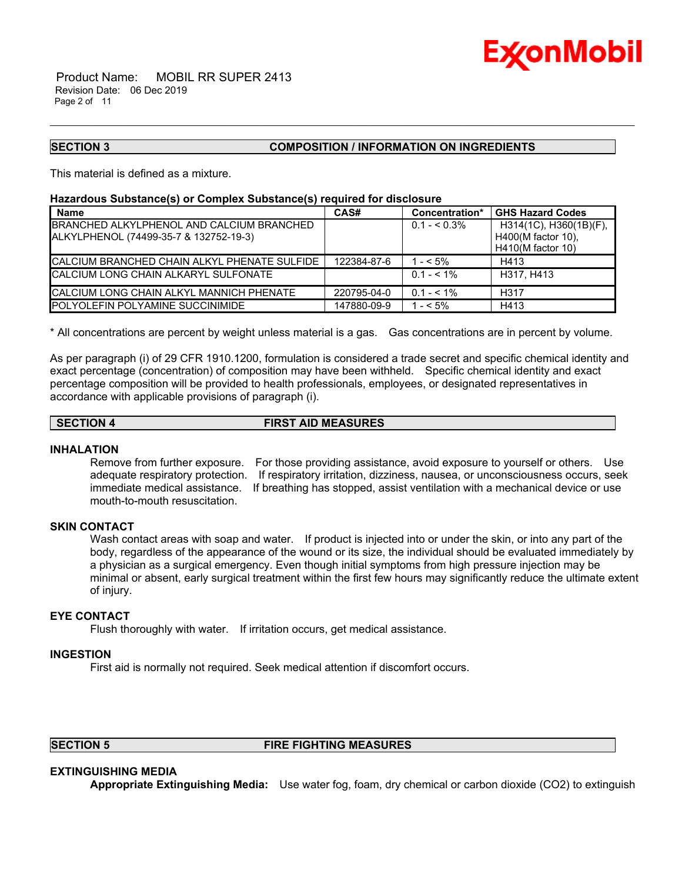

#### **SECTION 3 COMPOSITION / INFORMATION ON INGREDIENTS**

This material is defined as a mixture.

#### **Hazardous Substance(s) or Complex Substance(s) required for disclosure**

| <b>Name</b>                                         | CAS#        | Concentration* | <b>GHS Hazard Codes</b>      |
|-----------------------------------------------------|-------------|----------------|------------------------------|
| BRANCHED ALKYLPHENOL AND CALCIUM BRANCHED           |             | $0.1 - 5.3\%$  | $H314(1C)$ , $H360(1B)(F)$ , |
| ALKYLPHENOL (74499-35-7 & 132752-19-3)              |             |                | H400(M factor 10),           |
|                                                     |             |                | H410(M factor 10)            |
| <b>CALCIUM BRANCHED CHAIN ALKYL PHENATE SULFIDE</b> | 122384-87-6 | $1 - 5\%$      | H413                         |
| <b>CALCIUM LONG CHAIN ALKARYL SULFONATE</b>         |             | $0.1 - 5.1\%$  | H317, H413                   |
| <b>CALCIUM LONG CHAIN ALKYL MANNICH PHENATE</b>     | 220795-04-0 | $0.1 - 5.1\%$  | H317                         |
| <b>IPOLYOLEFIN POLYAMINE SUCCINIMIDE</b>            | 147880-09-9 | $1 - 5\%$      | H413                         |

\_\_\_\_\_\_\_\_\_\_\_\_\_\_\_\_\_\_\_\_\_\_\_\_\_\_\_\_\_\_\_\_\_\_\_\_\_\_\_\_\_\_\_\_\_\_\_\_\_\_\_\_\_\_\_\_\_\_\_\_\_\_\_\_\_\_\_\_\_\_\_\_\_\_\_\_\_\_\_\_\_\_\_\_\_\_\_\_\_\_\_\_\_\_\_\_\_\_\_\_\_\_\_\_\_\_\_\_\_\_\_\_\_\_\_\_\_\_

\* All concentrations are percent by weight unless material is a gas. Gas concentrations are in percent by volume.

As per paragraph (i) of 29 CFR 1910.1200, formulation is considered a trade secret and specific chemical identity and exact percentage (concentration) of composition may have been withheld. Specific chemical identity and exact percentage composition will be provided to health professionals, employees, or designated representatives in accordance with applicable provisions of paragraph (i).

### **SECTION 4 FIRST AID MEASURES**

#### **INHALATION**

Remove from further exposure. For those providing assistance, avoid exposure to yourself or others. Use adequate respiratory protection. If respiratory irritation, dizziness, nausea, or unconsciousness occurs, seek immediate medical assistance. If breathing has stopped, assist ventilation with a mechanical device or use mouth-to-mouth resuscitation.

#### **SKIN CONTACT**

Wash contact areas with soap and water. If product is injected into or under the skin, or into any part of the body, regardless of the appearance of the wound or its size, the individual should be evaluated immediately by a physician as a surgical emergency. Even though initial symptoms from high pressure injection may be minimal or absent, early surgical treatment within the first few hours may significantly reduce the ultimate extent of injury.

### **EYE CONTACT**

Flush thoroughly with water. If irritation occurs, get medical assistance.

#### **INGESTION**

First aid is normally not required. Seek medical attention if discomfort occurs.

### **SECTION 5 FIRE FIGHTING MEASURES**

### **EXTINGUISHING MEDIA**

**Appropriate Extinguishing Media:** Use water fog, foam, dry chemical or carbon dioxide (CO2) to extinguish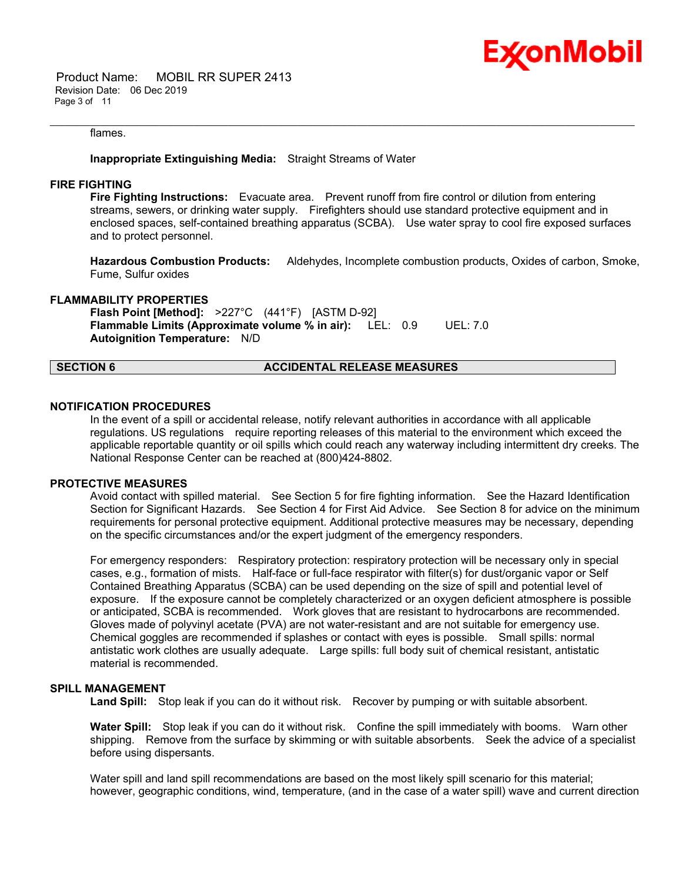

 Product Name: MOBIL RR SUPER 2413 Revision Date: 06 Dec 2019 Page 3 of 11

#### flames.

#### **Inappropriate Extinguishing Media:** Straight Streams of Water

#### **FIRE FIGHTING**

**Fire Fighting Instructions:** Evacuate area. Prevent runoff from fire control or dilution from entering streams, sewers, or drinking water supply. Firefighters should use standard protective equipment and in enclosed spaces, self-contained breathing apparatus (SCBA). Use water spray to cool fire exposed surfaces and to protect personnel.

\_\_\_\_\_\_\_\_\_\_\_\_\_\_\_\_\_\_\_\_\_\_\_\_\_\_\_\_\_\_\_\_\_\_\_\_\_\_\_\_\_\_\_\_\_\_\_\_\_\_\_\_\_\_\_\_\_\_\_\_\_\_\_\_\_\_\_\_\_\_\_\_\_\_\_\_\_\_\_\_\_\_\_\_\_\_\_\_\_\_\_\_\_\_\_\_\_\_\_\_\_\_\_\_\_\_\_\_\_\_\_\_\_\_\_\_\_\_

**Hazardous Combustion Products:** Aldehydes, Incomplete combustion products, Oxides of carbon, Smoke, Fume, Sulfur oxides

#### **FLAMMABILITY PROPERTIES**

**Flash Point [Method]:** >227°C (441°F) [ASTM D-92] **Flammable Limits (Approximate volume % in air):** LEL: 0.9 UEL: 7.0 **Autoignition Temperature:** N/D

#### **SECTION 6 ACCIDENTAL RELEASE MEASURES**

#### **NOTIFICATION PROCEDURES**

In the event of a spill or accidental release, notify relevant authorities in accordance with all applicable regulations. US regulations require reporting releases of this material to the environment which exceed the applicable reportable quantity or oil spills which could reach any waterway including intermittent dry creeks. The National Response Center can be reached at (800)424-8802.

#### **PROTECTIVE MEASURES**

Avoid contact with spilled material. See Section 5 for fire fighting information. See the Hazard Identification Section for Significant Hazards. See Section 4 for First Aid Advice. See Section 8 for advice on the minimum requirements for personal protective equipment. Additional protective measures may be necessary, depending on the specific circumstances and/or the expert judgment of the emergency responders.

For emergency responders: Respiratory protection: respiratory protection will be necessary only in special cases, e.g., formation of mists. Half-face or full-face respirator with filter(s) for dust/organic vapor or Self Contained Breathing Apparatus (SCBA) can be used depending on the size of spill and potential level of exposure. If the exposure cannot be completely characterized or an oxygen deficient atmosphere is possible or anticipated, SCBA is recommended. Work gloves that are resistant to hydrocarbons are recommended. Gloves made of polyvinyl acetate (PVA) are not water-resistant and are not suitable for emergency use. Chemical goggles are recommended if splashes or contact with eyes is possible. Small spills: normal antistatic work clothes are usually adequate. Large spills: full body suit of chemical resistant, antistatic material is recommended.

### **SPILL MANAGEMENT**

Land Spill: Stop leak if you can do it without risk. Recover by pumping or with suitable absorbent.

**Water Spill:** Stop leak if you can do it without risk. Confine the spill immediately with booms. Warn other shipping. Remove from the surface by skimming or with suitable absorbents. Seek the advice of a specialist before using dispersants.

Water spill and land spill recommendations are based on the most likely spill scenario for this material; however, geographic conditions, wind, temperature, (and in the case of a water spill) wave and current direction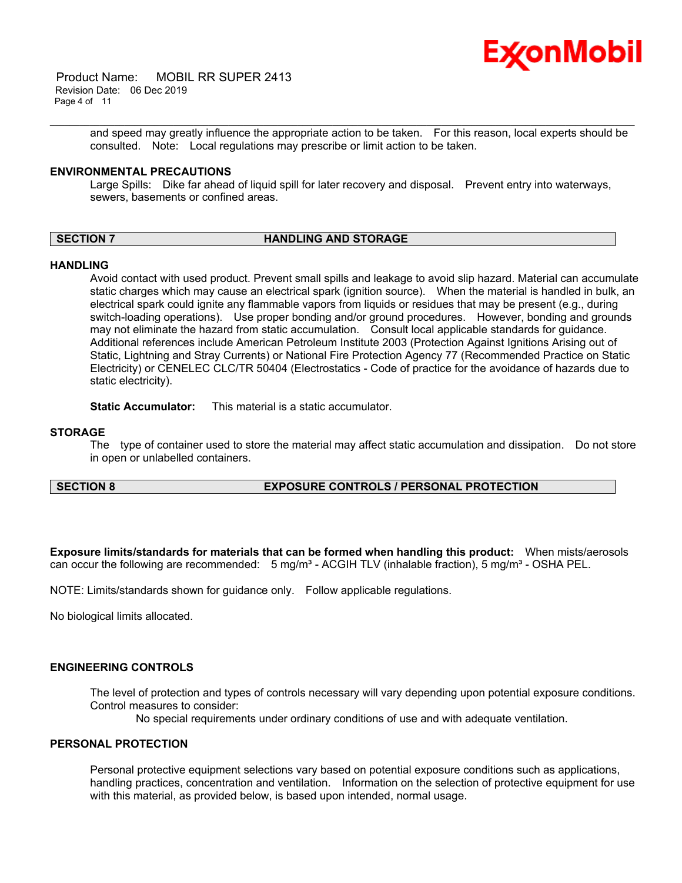

 Product Name: MOBIL RR SUPER 2413 Revision Date: 06 Dec 2019 Page 4 of 11

> and speed may greatly influence the appropriate action to be taken. For this reason, local experts should be consulted. Note: Local regulations may prescribe or limit action to be taken.

#### **ENVIRONMENTAL PRECAUTIONS**

Large Spills: Dike far ahead of liquid spill for later recovery and disposal. Prevent entry into waterways, sewers, basements or confined areas.

\_\_\_\_\_\_\_\_\_\_\_\_\_\_\_\_\_\_\_\_\_\_\_\_\_\_\_\_\_\_\_\_\_\_\_\_\_\_\_\_\_\_\_\_\_\_\_\_\_\_\_\_\_\_\_\_\_\_\_\_\_\_\_\_\_\_\_\_\_\_\_\_\_\_\_\_\_\_\_\_\_\_\_\_\_\_\_\_\_\_\_\_\_\_\_\_\_\_\_\_\_\_\_\_\_\_\_\_\_\_\_\_\_\_\_\_\_\_

### **SECTION 7 HANDLING AND STORAGE**

#### **HANDLING**

Avoid contact with used product. Prevent small spills and leakage to avoid slip hazard. Material can accumulate static charges which may cause an electrical spark (ignition source). When the material is handled in bulk, an electrical spark could ignite any flammable vapors from liquids or residues that may be present (e.g., during switch-loading operations). Use proper bonding and/or ground procedures. However, bonding and grounds may not eliminate the hazard from static accumulation. Consult local applicable standards for guidance. Additional references include American Petroleum Institute 2003 (Protection Against Ignitions Arising out of Static, Lightning and Stray Currents) or National Fire Protection Agency 77 (Recommended Practice on Static Electricity) or CENELEC CLC/TR 50404 (Electrostatics - Code of practice for the avoidance of hazards due to static electricity).

**Static Accumulator:** This material is a static accumulator.

#### **STORAGE**

The type of container used to store the material may affect static accumulation and dissipation. Do not store in open or unlabelled containers.

#### **SECTION 8 EXPOSURE CONTROLS / PERSONAL PROTECTION**

**Exposure limits/standards for materials that can be formed when handling this product:** When mists/aerosols can occur the following are recommended: 5 mg/m<sup>3</sup> - ACGIH TLV (inhalable fraction), 5 mg/m<sup>3</sup> - OSHA PEL.

NOTE: Limits/standards shown for guidance only. Follow applicable regulations.

No biological limits allocated.

#### **ENGINEERING CONTROLS**

The level of protection and types of controls necessary will vary depending upon potential exposure conditions. Control measures to consider:

No special requirements under ordinary conditions of use and with adequate ventilation.

#### **PERSONAL PROTECTION**

Personal protective equipment selections vary based on potential exposure conditions such as applications, handling practices, concentration and ventilation. Information on the selection of protective equipment for use with this material, as provided below, is based upon intended, normal usage.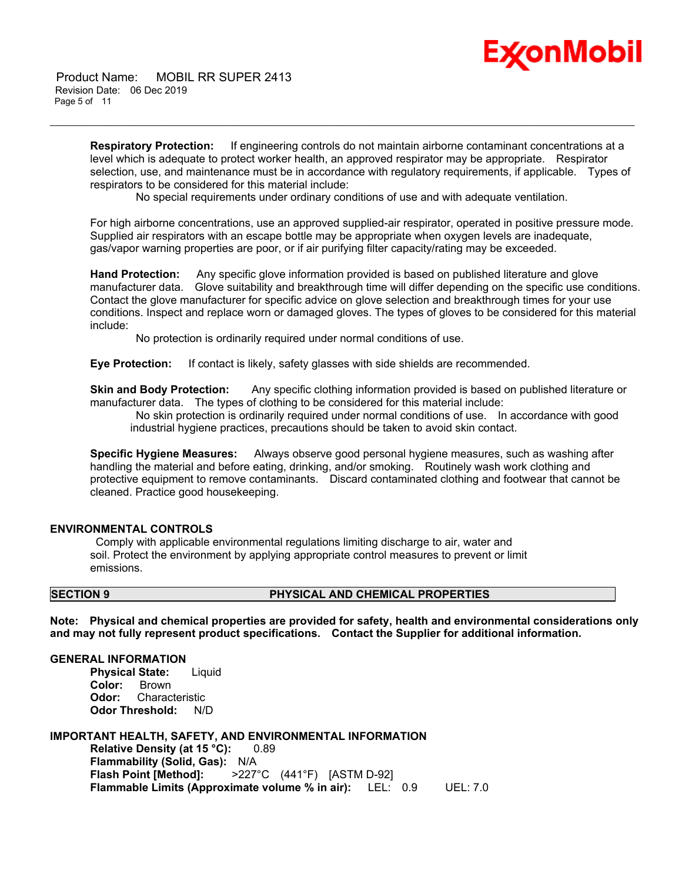# Ex⁄onMobil

 Product Name: MOBIL RR SUPER 2413 Revision Date: 06 Dec 2019 Page 5 of 11

> **Respiratory Protection:** If engineering controls do not maintain airborne contaminant concentrations at a level which is adequate to protect worker health, an approved respirator may be appropriate. Respirator selection, use, and maintenance must be in accordance with regulatory requirements, if applicable. Types of respirators to be considered for this material include:

No special requirements under ordinary conditions of use and with adequate ventilation.

\_\_\_\_\_\_\_\_\_\_\_\_\_\_\_\_\_\_\_\_\_\_\_\_\_\_\_\_\_\_\_\_\_\_\_\_\_\_\_\_\_\_\_\_\_\_\_\_\_\_\_\_\_\_\_\_\_\_\_\_\_\_\_\_\_\_\_\_\_\_\_\_\_\_\_\_\_\_\_\_\_\_\_\_\_\_\_\_\_\_\_\_\_\_\_\_\_\_\_\_\_\_\_\_\_\_\_\_\_\_\_\_\_\_\_\_\_\_

For high airborne concentrations, use an approved supplied-air respirator, operated in positive pressure mode. Supplied air respirators with an escape bottle may be appropriate when oxygen levels are inadequate, gas/vapor warning properties are poor, or if air purifying filter capacity/rating may be exceeded.

**Hand Protection:** Any specific glove information provided is based on published literature and glove manufacturer data. Glove suitability and breakthrough time will differ depending on the specific use conditions. Contact the glove manufacturer for specific advice on glove selection and breakthrough times for your use conditions. Inspect and replace worn or damaged gloves. The types of gloves to be considered for this material include:

No protection is ordinarily required under normal conditions of use.

**Eye Protection:** If contact is likely, safety glasses with side shields are recommended.

**Skin and Body Protection:** Any specific clothing information provided is based on published literature or manufacturer data. The types of clothing to be considered for this material include:

 No skin protection is ordinarily required under normal conditions of use. In accordance with good industrial hygiene practices, precautions should be taken to avoid skin contact.

**Specific Hygiene Measures:** Always observe good personal hygiene measures, such as washing after handling the material and before eating, drinking, and/or smoking. Routinely wash work clothing and protective equipment to remove contaminants. Discard contaminated clothing and footwear that cannot be cleaned. Practice good housekeeping.

#### **ENVIRONMENTAL CONTROLS**

 Comply with applicable environmental regulations limiting discharge to air, water and soil. Protect the environment by applying appropriate control measures to prevent or limit emissions.

#### **SECTION 9 PHYSICAL AND CHEMICAL PROPERTIES**

**Note: Physical and chemical properties are provided for safety, health and environmental considerations only and may not fully represent product specifications. Contact the Supplier for additional information.**

#### **GENERAL INFORMATION**

**Physical State:** Liquid **Color:** Brown **Odor:** Characteristic **Odor Threshold:** N/D

**IMPORTANT HEALTH, SAFETY, AND ENVIRONMENTAL INFORMATION Relative Density (at 15 °C):** 0.89 **Flammability (Solid, Gas):** N/A **Flash Point [Method]:** >227°C (441°F) [ASTM D-92] **Flammable Limits (Approximate volume % in air):** LEL: 0.9 UEL: 7.0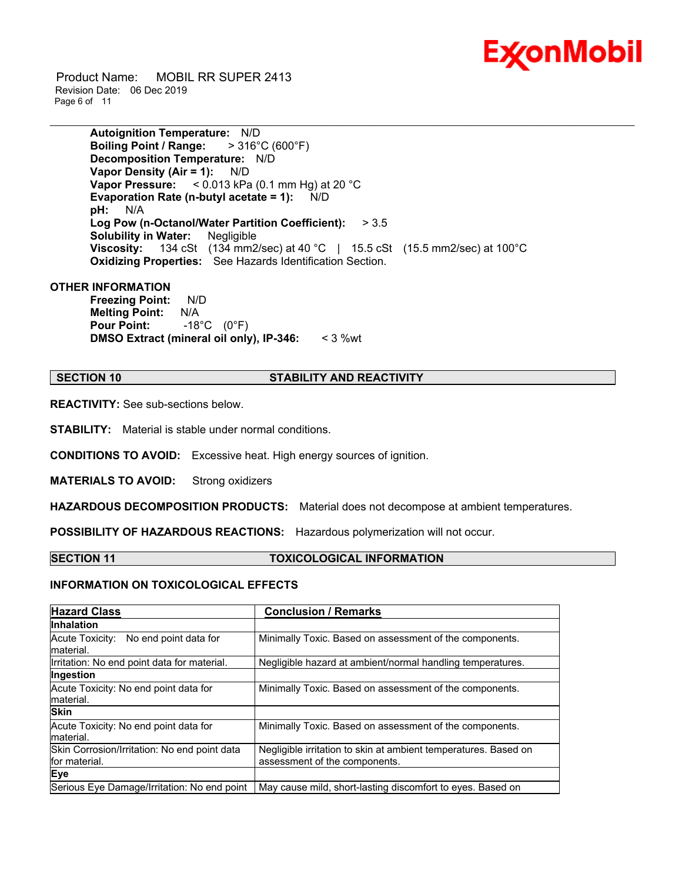

 Product Name: MOBIL RR SUPER 2413 Revision Date: 06 Dec 2019 Page 6 of 11

> **Autoignition Temperature:** N/D **Boiling Point / Range:** > 316°C (600°F) **Decomposition Temperature:** N/D **Vapor Density (Air = 1):** N/D **Vapor Pressure:** < 0.013 kPa (0.1 mm Hg) at 20 °C **Evaporation Rate (n-butyl acetate = 1):** N/D **pH:** N/A **Log Pow (n-Octanol/Water Partition Coefficient):** > 3.5 **Solubility in Water:** Negligible **Viscosity:** 134 cSt (134 mm2/sec) at 40 °C | 15.5 cSt (15.5 mm2/sec) at 100 °C **Oxidizing Properties:** See Hazards Identification Section.

\_\_\_\_\_\_\_\_\_\_\_\_\_\_\_\_\_\_\_\_\_\_\_\_\_\_\_\_\_\_\_\_\_\_\_\_\_\_\_\_\_\_\_\_\_\_\_\_\_\_\_\_\_\_\_\_\_\_\_\_\_\_\_\_\_\_\_\_\_\_\_\_\_\_\_\_\_\_\_\_\_\_\_\_\_\_\_\_\_\_\_\_\_\_\_\_\_\_\_\_\_\_\_\_\_\_\_\_\_\_\_\_\_\_\_\_\_\_

**OTHER INFORMATION**

**Freezing Point:** N/D **Melting Point:** N/A **Pour Point:** -18°C (0°F) **DMSO Extract (mineral oil only), IP-346:** < 3 %wt

#### **SECTION 10 STABILITY AND REACTIVITY**

**REACTIVITY:** See sub-sections below.

**STABILITY:** Material is stable under normal conditions.

**CONDITIONS TO AVOID:** Excessive heat. High energy sources of ignition.

**MATERIALS TO AVOID:** Strong oxidizers

**HAZARDOUS DECOMPOSITION PRODUCTS:** Material does not decompose at ambient temperatures.

**POSSIBILITY OF HAZARDOUS REACTIONS:** Hazardous polymerization will not occur.

#### **SECTION 11 TOXICOLOGICAL INFORMATION**

#### **INFORMATION ON TOXICOLOGICAL EFFECTS**

| <b>Hazard Class</b>                                           | <b>Conclusion / Remarks</b>                                                                      |
|---------------------------------------------------------------|--------------------------------------------------------------------------------------------------|
| <b>Inhalation</b>                                             |                                                                                                  |
| Acute Toxicity: No end point data for<br>material.            | Minimally Toxic. Based on assessment of the components.                                          |
| Irritation: No end point data for material.                   | Negligible hazard at ambient/normal handling temperatures.                                       |
| Ingestion                                                     |                                                                                                  |
| Acute Toxicity: No end point data for<br>material.            | Minimally Toxic. Based on assessment of the components.                                          |
| <b>Skin</b>                                                   |                                                                                                  |
| Acute Toxicity: No end point data for<br>material.            | Minimally Toxic. Based on assessment of the components.                                          |
| Skin Corrosion/Irritation: No end point data<br>for material. | Negligible irritation to skin at ambient temperatures. Based on<br>assessment of the components. |
| Eye                                                           |                                                                                                  |
| Serious Eye Damage/Irritation: No end point                   | May cause mild, short-lasting discomfort to eyes. Based on                                       |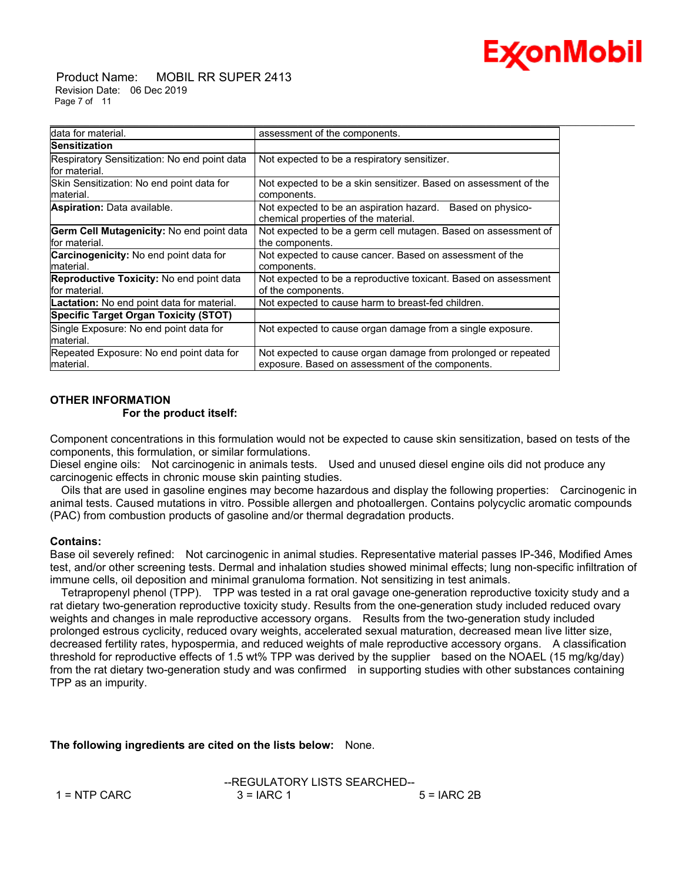# Ex⁄onMobil

 Product Name: MOBIL RR SUPER 2413 Revision Date: 06 Dec 2019 Page 7 of 11

| data for material.                                               | assessment of the components.                                                                                     |
|------------------------------------------------------------------|-------------------------------------------------------------------------------------------------------------------|
| <b>Sensitization</b>                                             |                                                                                                                   |
| Respiratory Sensitization: No end point data<br>lfor material.   | Not expected to be a respiratory sensitizer.                                                                      |
| Skin Sensitization: No end point data for<br>lmaterial.          | Not expected to be a skin sensitizer. Based on assessment of the<br>components.                                   |
| <b>Aspiration:</b> Data available.                               | Not expected to be an aspiration hazard. Based on physico-<br>chemical properties of the material.                |
| Germ Cell Mutagenicity: No end point data<br>for material.       | Not expected to be a germ cell mutagen. Based on assessment of<br>the components.                                 |
| <b>Carcinogenicity:</b> No end point data for<br>material.       | Not expected to cause cancer. Based on assessment of the<br>components.                                           |
| <b>Reproductive Toxicity:</b> No end point data<br>for material. | Not expected to be a reproductive toxicant. Based on assessment<br>of the components.                             |
| <b>Lactation:</b> No end point data for material.                | Not expected to cause harm to breast-fed children.                                                                |
| <b>Specific Target Organ Toxicity (STOT)</b>                     |                                                                                                                   |
| Single Exposure: No end point data for<br>material.              | Not expected to cause organ damage from a single exposure.                                                        |
| Repeated Exposure: No end point data for<br>material.            | Not expected to cause organ damage from prolonged or repeated<br>exposure. Based on assessment of the components. |

#### **OTHER INFORMATION For the product itself:**

Component concentrations in this formulation would not be expected to cause skin sensitization, based on tests of the components, this formulation, or similar formulations.

Diesel engine oils: Not carcinogenic in animals tests. Used and unused diesel engine oils did not produce any carcinogenic effects in chronic mouse skin painting studies.

 Oils that are used in gasoline engines may become hazardous and display the following properties: Carcinogenic in animal tests. Caused mutations in vitro. Possible allergen and photoallergen. Contains polycyclic aromatic compounds (PAC) from combustion products of gasoline and/or thermal degradation products.

### **Contains:**

Base oil severely refined: Not carcinogenic in animal studies. Representative material passes IP-346, Modified Ames test, and/or other screening tests. Dermal and inhalation studies showed minimal effects; lung non-specific infiltration of immune cells, oil deposition and minimal granuloma formation. Not sensitizing in test animals.

 Tetrapropenyl phenol (TPP). TPP was tested in a rat oral gavage one-generation reproductive toxicity study and a rat dietary two-generation reproductive toxicity study. Results from the one-generation study included reduced ovary weights and changes in male reproductive accessory organs. Results from the two-generation study included prolonged estrous cyclicity, reduced ovary weights, accelerated sexual maturation, decreased mean live litter size, decreased fertility rates, hypospermia, and reduced weights of male reproductive accessory organs. A classification threshold for reproductive effects of 1.5 wt% TPP was derived by the supplier based on the NOAEL (15 mg/kg/day) from the rat dietary two-generation study and was confirmed in supporting studies with other substances containing TPP as an impurity.

**The following ingredients are cited on the lists below:** None.

|                | --REGULATORY LISTS SEARCHED-- |              |
|----------------|-------------------------------|--------------|
| $1 =$ NTP CARC | $3 = IARC 1$                  | $5 = IARC2B$ |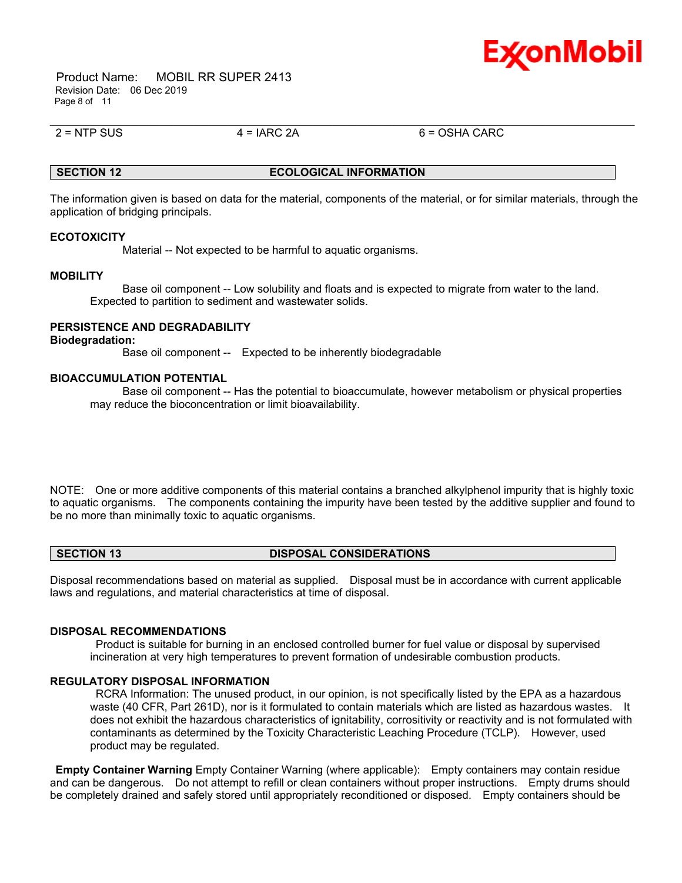

 Product Name: MOBIL RR SUPER 2413 Revision Date: 06 Dec 2019 Page 8 of 11

 $2 = NTP$  SUS  $4 = IARC$  2A 6 = OSHA CARC

#### **SECTION 12 ECOLOGICAL INFORMATION**

\_\_\_\_\_\_\_\_\_\_\_\_\_\_\_\_\_\_\_\_\_\_\_\_\_\_\_\_\_\_\_\_\_\_\_\_\_\_\_\_\_\_\_\_\_\_\_\_\_\_\_\_\_\_\_\_\_\_\_\_\_\_\_\_\_\_\_\_\_\_\_\_\_\_\_\_\_\_\_\_\_\_\_\_\_\_\_\_\_\_\_\_\_\_\_\_\_\_\_\_\_\_\_\_\_\_\_\_\_\_\_\_\_\_\_\_\_\_

The information given is based on data for the material, components of the material, or for similar materials, through the application of bridging principals.

#### **ECOTOXICITY**

Material -- Not expected to be harmful to aquatic organisms.

#### **MOBILITY**

 Base oil component -- Low solubility and floats and is expected to migrate from water to the land. Expected to partition to sediment and wastewater solids.

#### **PERSISTENCE AND DEGRADABILITY**

#### **Biodegradation:**

Base oil component -- Expected to be inherently biodegradable

#### **BIOACCUMULATION POTENTIAL**

 Base oil component -- Has the potential to bioaccumulate, however metabolism or physical properties may reduce the bioconcentration or limit bioavailability.

NOTE: One or more additive components of this material contains a branched alkylphenol impurity that is highly toxic to aquatic organisms. The components containing the impurity have been tested by the additive supplier and found to be no more than minimally toxic to aquatic organisms.

**SECTION 13 DISPOSAL CONSIDERATIONS** 

Disposal recommendations based on material as supplied. Disposal must be in accordance with current applicable laws and regulations, and material characteristics at time of disposal.

#### **DISPOSAL RECOMMENDATIONS**

 Product is suitable for burning in an enclosed controlled burner for fuel value or disposal by supervised incineration at very high temperatures to prevent formation of undesirable combustion products.

#### **REGULATORY DISPOSAL INFORMATION**

 RCRA Information: The unused product, in our opinion, is not specifically listed by the EPA as a hazardous waste (40 CFR, Part 261D), nor is it formulated to contain materials which are listed as hazardous wastes. It does not exhibit the hazardous characteristics of ignitability, corrositivity or reactivity and is not formulated with contaminants as determined by the Toxicity Characteristic Leaching Procedure (TCLP). However, used product may be regulated.

**Empty Container Warning** Empty Container Warning (where applicable): Empty containers may contain residue and can be dangerous. Do not attempt to refill or clean containers without proper instructions. Empty drums should be completely drained and safely stored until appropriately reconditioned or disposed. Empty containers should be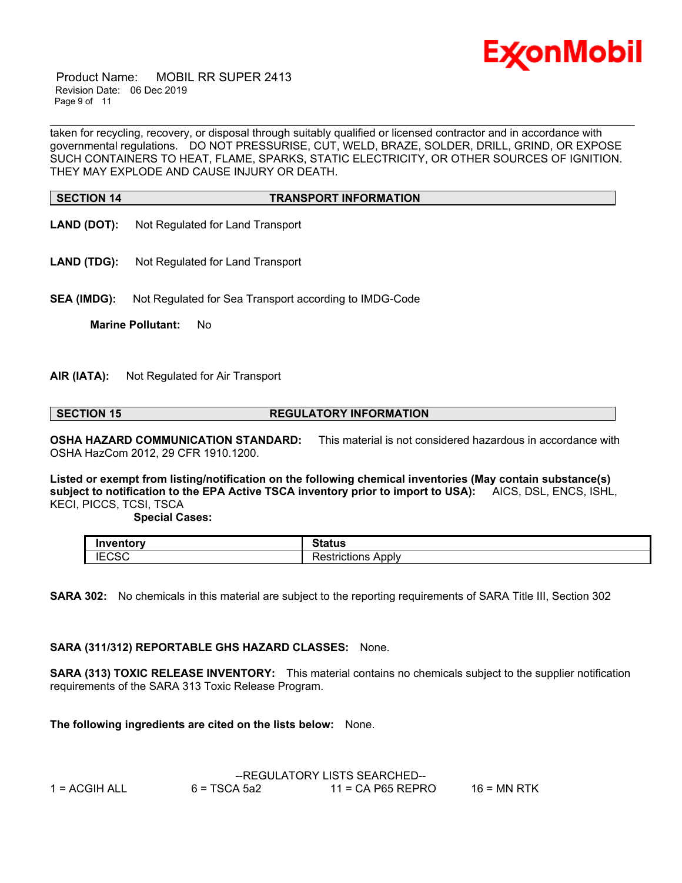

 Product Name: MOBIL RR SUPER 2413 Revision Date: 06 Dec 2019 Page 9 of 11

taken for recycling, recovery, or disposal through suitably qualified or licensed contractor and in accordance with governmental regulations. DO NOT PRESSURISE, CUT, WELD, BRAZE, SOLDER, DRILL, GRIND, OR EXPOSE SUCH CONTAINERS TO HEAT, FLAME, SPARKS, STATIC ELECTRICITY, OR OTHER SOURCES OF IGNITION. THEY MAY EXPLODE AND CAUSE INJURY OR DEATH.

\_\_\_\_\_\_\_\_\_\_\_\_\_\_\_\_\_\_\_\_\_\_\_\_\_\_\_\_\_\_\_\_\_\_\_\_\_\_\_\_\_\_\_\_\_\_\_\_\_\_\_\_\_\_\_\_\_\_\_\_\_\_\_\_\_\_\_\_\_\_\_\_\_\_\_\_\_\_\_\_\_\_\_\_\_\_\_\_\_\_\_\_\_\_\_\_\_\_\_\_\_\_\_\_\_\_\_\_\_\_\_\_\_\_\_\_\_\_

### **SECTION 14 TRANSPORT INFORMATION**

- **LAND (DOT):** Not Regulated for Land Transport
- LAND (TDG): Not Regulated for Land Transport

**SEA (IMDG):** Not Regulated for Sea Transport according to IMDG-Code

**Marine Pollutant:** No

#### **AIR (IATA):** Not Regulated for Air Transport

**SECTION 15 REGULATORY INFORMATION**

**OSHA HAZARD COMMUNICATION STANDARD:** This material is not considered hazardous in accordance with OSHA HazCom 2012, 29 CFR 1910.1200.

**Listed or exempt from listing/notification on the following chemical inventories (May contain substance(s) subject to notification to the EPA Active TSCA inventory prior to import to USA):** AICS, DSL, ENCS, ISHL, KECI, PICCS, TCSI, TSCA

 **Special Cases:**

| Inventory        | $01 - 11$<br>ιαιuε                   |
|------------------|--------------------------------------|
| $\Gamma$<br>טסט: | –<br>Apply<br>. <b>.</b><br>TICTIONS |

**SARA 302:** No chemicals in this material are subject to the reporting requirements of SARA Title III, Section 302

### **SARA (311/312) REPORTABLE GHS HAZARD CLASSES:** None.

**SARA (313) TOXIC RELEASE INVENTORY:** This material contains no chemicals subject to the supplier notification requirements of the SARA 313 Toxic Release Program.

**The following ingredients are cited on the lists below:** None.

|                 | --REGULATORY LISTS SEARCHED-- |                   |               |
|-----------------|-------------------------------|-------------------|---------------|
| $1 = ACGIH ALL$ | $6 = TSCA 5a2$                | 11 = CA P65 REPRO | $16$ = MN RTK |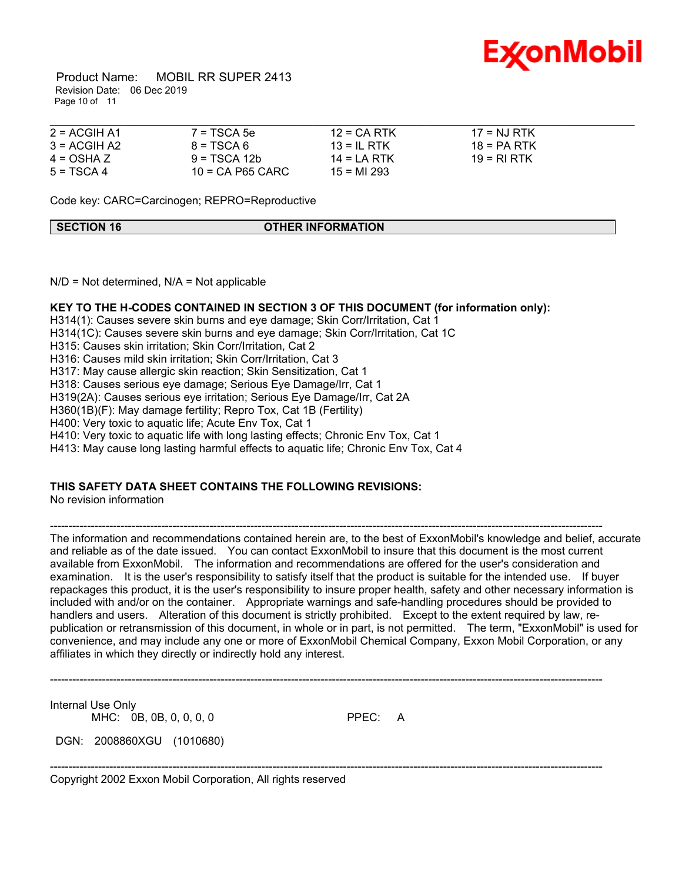

 Product Name: MOBIL RR SUPER 2413 Revision Date: 06 Dec 2019 Page 10 of 11

| $2 = ACGIH A1$ | $7 = TSCA 5e$      | $12 = CA$ RTK  | $17 = NJ RTK$ |  |
|----------------|--------------------|----------------|---------------|--|
| $3 = ACGIH A2$ | $8 = TSCA6$        | $13 = 1$ RTK   | $18 = PA RTK$ |  |
| $4 = OSHA Z$   | $9 = TSCA 12b$     | $14 = I A RTK$ | 19 = RLRTK    |  |
| $5 = TSCA 4$   | $10$ = CA P65 CARC | $15 = M1293$   |               |  |

Code key: CARC=Carcinogen; REPRO=Reproductive

**SECTION 16 OTHER INFORMATION** 

 $N/D$  = Not determined,  $N/A$  = Not applicable

#### **KEY TO THE H-CODES CONTAINED IN SECTION 3 OF THIS DOCUMENT (for information only):**

H314(1): Causes severe skin burns and eye damage; Skin Corr/Irritation, Cat 1 H314(1C): Causes severe skin burns and eye damage; Skin Corr/Irritation, Cat 1C H315: Causes skin irritation; Skin Corr/Irritation, Cat 2 H316: Causes mild skin irritation; Skin Corr/Irritation, Cat 3 H317: May cause allergic skin reaction; Skin Sensitization, Cat 1 H318: Causes serious eye damage; Serious Eye Damage/Irr, Cat 1 H319(2A): Causes serious eye irritation; Serious Eye Damage/Irr, Cat 2A H360(1B)(F): May damage fertility; Repro Tox, Cat 1B (Fertility) H400: Very toxic to aquatic life; Acute Env Tox, Cat 1 H410: Very toxic to aquatic life with long lasting effects; Chronic Env Tox, Cat 1 H413: May cause long lasting harmful effects to aquatic life; Chronic Env Tox, Cat 4

### **THIS SAFETY DATA SHEET CONTAINS THE FOLLOWING REVISIONS:**

No revision information

----------------------------------------------------------------------------------------------------------------------------------------------------- The information and recommendations contained herein are, to the best of ExxonMobil's knowledge and belief, accurate and reliable as of the date issued. You can contact ExxonMobil to insure that this document is the most current available from ExxonMobil. The information and recommendations are offered for the user's consideration and examination. It is the user's responsibility to satisfy itself that the product is suitable for the intended use. If buyer repackages this product, it is the user's responsibility to insure proper health, safety and other necessary information is included with and/or on the container. Appropriate warnings and safe-handling procedures should be provided to handlers and users. Alteration of this document is strictly prohibited. Except to the extent required by law, republication or retransmission of this document, in whole or in part, is not permitted. The term, "ExxonMobil" is used for convenience, and may include any one or more of ExxonMobil Chemical Company, Exxon Mobil Corporation, or any affiliates in which they directly or indirectly hold any interest.

-----------------------------------------------------------------------------------------------------------------------------------------------------

-----------------------------------------------------------------------------------------------------------------------------------------------------

Internal Use Only MHC: 0B, 0B, 0, 0, 0, 0 PPEC: A

DGN: 2008860XGU (1010680)

Copyright 2002 Exxon Mobil Corporation, All rights reserved